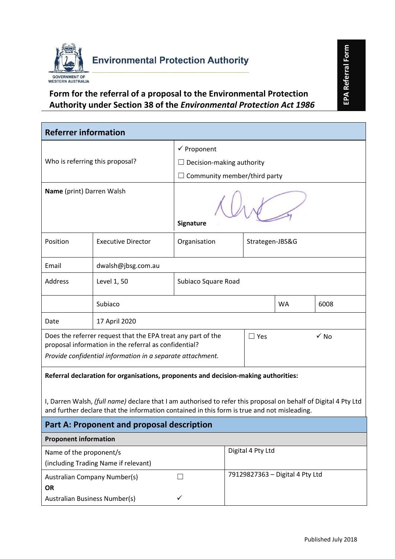

## **Form for the referral of a proposal to the Environmental Protection Authority under Section 38 of the** *Environmental Protection Act 1986*

| <b>Environmental Protection Authority</b>                                                                                                                                                                      |                                                                                               |                                     |                        | EPA Referral Form |                     |  |  |
|----------------------------------------------------------------------------------------------------------------------------------------------------------------------------------------------------------------|-----------------------------------------------------------------------------------------------|-------------------------------------|------------------------|-------------------|---------------------|--|--|
| GOVERNMENT OF<br><b>WESTERN AUSTRALIA</b>                                                                                                                                                                      |                                                                                               |                                     |                        |                   |                     |  |  |
|                                                                                                                                                                                                                | Form for the referral of a proposal to the Environmental Protection                           |                                     |                        |                   |                     |  |  |
|                                                                                                                                                                                                                | Authority under Section 38 of the Environmental Protection Act 1986                           |                                     |                        |                   |                     |  |  |
|                                                                                                                                                                                                                |                                                                                               |                                     |                        |                   |                     |  |  |
| <b>Referrer information</b>                                                                                                                                                                                    |                                                                                               |                                     |                        |                   |                     |  |  |
|                                                                                                                                                                                                                |                                                                                               |                                     | $\checkmark$ Proponent |                   |                     |  |  |
|                                                                                                                                                                                                                | Who is referring this proposal?                                                               | $\Box$ Decision-making authority    |                        |                   |                     |  |  |
|                                                                                                                                                                                                                |                                                                                               | $\Box$ Community member/third party |                        |                   |                     |  |  |
| Name (print) Darren Walsh                                                                                                                                                                                      |                                                                                               | Signature                           |                        |                   |                     |  |  |
| Position                                                                                                                                                                                                       | <b>Executive Director</b>                                                                     | Organisation                        | Strategen-JBS&G        |                   |                     |  |  |
| Email                                                                                                                                                                                                          | dwalsh@jbsg.com.au                                                                            |                                     |                        |                   |                     |  |  |
| Address                                                                                                                                                                                                        | Level 1, 50                                                                                   | Subiaco Square Road                 |                        |                   |                     |  |  |
|                                                                                                                                                                                                                | Subiaco                                                                                       |                                     |                        | <b>WA</b>         | 6008                |  |  |
| Date                                                                                                                                                                                                           | 17 April 2020                                                                                 |                                     |                        |                   |                     |  |  |
|                                                                                                                                                                                                                | Does the referrer request that the EPA treat any part of the<br>$\checkmark$ No<br>$\Box$ Yes |                                     |                        |                   |                     |  |  |
| proposal information in the referral as confidential?<br>Provide confidential information in a separate attachment.                                                                                            |                                                                                               |                                     |                        |                   |                     |  |  |
| Referral declaration for organisations, proponents and decision-making authorities:                                                                                                                            |                                                                                               |                                     |                        |                   |                     |  |  |
|                                                                                                                                                                                                                |                                                                                               |                                     |                        |                   |                     |  |  |
| I, Darren Walsh, (full name) declare that I am authorised to refer this proposal on behalf of Digital 4 Pty Ltd<br>and further declare that the information contained in this form is true and not misleading. |                                                                                               |                                     |                        |                   |                     |  |  |
| Part A: Proponent and proposal description                                                                                                                                                                     |                                                                                               |                                     |                        |                   |                     |  |  |
| <b>Proponent information</b>                                                                                                                                                                                   |                                                                                               |                                     |                        |                   |                     |  |  |
| Digital 4 Pty Ltd<br>Name of the proponent/s                                                                                                                                                                   |                                                                                               |                                     |                        |                   |                     |  |  |
| (including Trading Name if relevant)                                                                                                                                                                           |                                                                                               |                                     |                        |                   |                     |  |  |
| 79129827363 - Digital 4 Pty Ltd<br><b>Australian Company Number(s)</b>                                                                                                                                         |                                                                                               |                                     |                        |                   |                     |  |  |
| <b>OR</b>                                                                                                                                                                                                      | Australian Business Number(s)                                                                 | ✓                                   |                        |                   |                     |  |  |
|                                                                                                                                                                                                                |                                                                                               |                                     |                        |                   |                     |  |  |
|                                                                                                                                                                                                                |                                                                                               |                                     |                        |                   |                     |  |  |
|                                                                                                                                                                                                                |                                                                                               |                                     |                        |                   | Published July 2018 |  |  |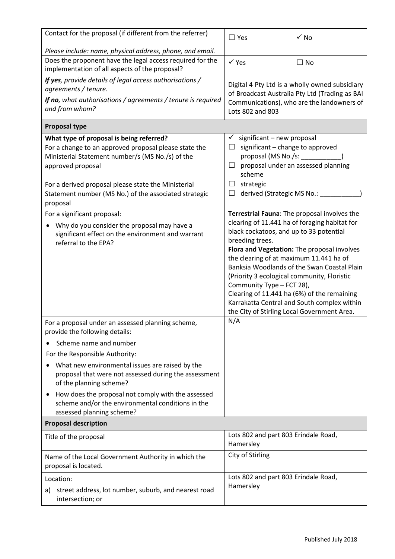| Contact for the proposal (if different from the referrer)                                                                                                                  | $\checkmark$ No<br>$\Box$ Yes                                                                                                                                                                                                                                                                                                                                                                                                                                                 |
|----------------------------------------------------------------------------------------------------------------------------------------------------------------------------|-------------------------------------------------------------------------------------------------------------------------------------------------------------------------------------------------------------------------------------------------------------------------------------------------------------------------------------------------------------------------------------------------------------------------------------------------------------------------------|
| Please include: name, physical address, phone, and email.                                                                                                                  |                                                                                                                                                                                                                                                                                                                                                                                                                                                                               |
| Does the proponent have the legal access required for the<br>implementation of all aspects of the proposal?                                                                | $\checkmark$ Yes<br>$\Box$ No                                                                                                                                                                                                                                                                                                                                                                                                                                                 |
| If yes, provide details of legal access authorisations /<br>agreements / tenure.<br>If no, what authorisations / agreements / tenure is required<br>and from whom?         | Digital 4 Pty Ltd is a wholly owned subsidiary<br>of Broadcast Australia Pty Ltd (Trading as BAI<br>Communications), who are the landowners of<br>Lots 802 and 803                                                                                                                                                                                                                                                                                                            |
| <b>Proposal type</b>                                                                                                                                                       |                                                                                                                                                                                                                                                                                                                                                                                                                                                                               |
| What type of proposal is being referred?<br>For a change to an approved proposal please state the<br>Ministerial Statement number/s (MS No./s) of the<br>approved proposal | $\checkmark$ significant – new proposal<br>significant - change to approved<br>proposal (MS No./s: _____<br>proposal under an assessed planning<br>$\Box$<br>scheme                                                                                                                                                                                                                                                                                                           |
| For a derived proposal please state the Ministerial<br>Statement number (MS No.) of the associated strategic<br>proposal                                                   | strategic<br>$\Box$<br>derived (Strategic MS No.: __<br>ப                                                                                                                                                                                                                                                                                                                                                                                                                     |
| For a significant proposal:                                                                                                                                                | Terrestrial Fauna: The proposal involves the                                                                                                                                                                                                                                                                                                                                                                                                                                  |
| Why do you consider the proposal may have a<br>$\bullet$<br>significant effect on the environment and warrant<br>referral to the EPA?                                      | clearing of 11.441 ha of foraging habitat for<br>black cockatoos, and up to 33 potential<br>breeding trees.<br>Flora and Vegetation: The proposal involves<br>the clearing of at maximum 11.441 ha of<br>Banksia Woodlands of the Swan Coastal Plain<br>(Priority 3 ecological community, Floristic<br>Community Type - FCT 28),<br>Clearing of 11.441 ha (6%) of the remaining<br>Karrakatta Central and South complex within<br>the City of Stirling Local Government Area. |
| For a proposal under an assessed planning scheme,<br>provide the following details:                                                                                        | N/A                                                                                                                                                                                                                                                                                                                                                                                                                                                                           |
| Scheme name and number                                                                                                                                                     |                                                                                                                                                                                                                                                                                                                                                                                                                                                                               |
| For the Responsible Authority:                                                                                                                                             |                                                                                                                                                                                                                                                                                                                                                                                                                                                                               |
| What new environmental issues are raised by the<br>proposal that were not assessed during the assessment<br>of the planning scheme?                                        |                                                                                                                                                                                                                                                                                                                                                                                                                                                                               |
| How does the proposal not comply with the assessed<br>٠<br>scheme and/or the environmental conditions in the<br>assessed planning scheme?                                  |                                                                                                                                                                                                                                                                                                                                                                                                                                                                               |
| <b>Proposal description</b>                                                                                                                                                |                                                                                                                                                                                                                                                                                                                                                                                                                                                                               |
| Title of the proposal                                                                                                                                                      | Lots 802 and part 803 Erindale Road,<br>Hamersley                                                                                                                                                                                                                                                                                                                                                                                                                             |
| Name of the Local Government Authority in which the<br>proposal is located.                                                                                                | City of Stirling                                                                                                                                                                                                                                                                                                                                                                                                                                                              |
| Location:                                                                                                                                                                  | Lots 802 and part 803 Erindale Road,                                                                                                                                                                                                                                                                                                                                                                                                                                          |
| street address, lot number, suburb, and nearest road<br>a)<br>intersection; or                                                                                             | Hamersley                                                                                                                                                                                                                                                                                                                                                                                                                                                                     |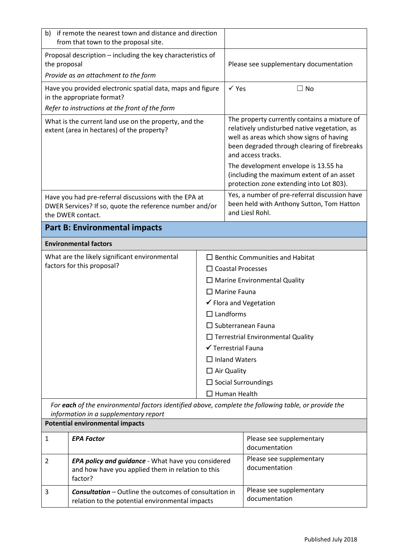| if remote the nearest town and distance and direction<br>b)<br>from that town to the proposal site.                                           |                                                                                                                    |                                                                                                               |                                                                                                                                                                                                                                                                                                     |                                           |  |
|-----------------------------------------------------------------------------------------------------------------------------------------------|--------------------------------------------------------------------------------------------------------------------|---------------------------------------------------------------------------------------------------------------|-----------------------------------------------------------------------------------------------------------------------------------------------------------------------------------------------------------------------------------------------------------------------------------------------------|-------------------------------------------|--|
| Proposal description - including the key characteristics of<br>the proposal                                                                   |                                                                                                                    | Please see supplementary documentation                                                                        |                                                                                                                                                                                                                                                                                                     |                                           |  |
|                                                                                                                                               | Provide as an attachment to the form                                                                               |                                                                                                               |                                                                                                                                                                                                                                                                                                     |                                           |  |
|                                                                                                                                               | Have you provided electronic spatial data, maps and figure<br>in the appropriate format?                           |                                                                                                               | $\checkmark$ Yes                                                                                                                                                                                                                                                                                    | $\Box$ No                                 |  |
|                                                                                                                                               | Refer to instructions at the front of the form                                                                     |                                                                                                               |                                                                                                                                                                                                                                                                                                     |                                           |  |
| What is the current land use on the property, and the<br>extent (area in hectares) of the property?                                           |                                                                                                                    |                                                                                                               | The property currently contains a mixture of<br>relatively undisturbed native vegetation, as<br>well as areas which show signs of having<br>been degraded through clearing of firebreaks<br>and access tracks.<br>The development envelope is 13.55 ha<br>(including the maximum extent of an asset |                                           |  |
|                                                                                                                                               |                                                                                                                    |                                                                                                               |                                                                                                                                                                                                                                                                                                     | protection zone extending into Lot 803).  |  |
| Have you had pre-referral discussions with the EPA at<br>DWER Services? If so, quote the reference number and/or<br>the DWER contact.         |                                                                                                                    | Yes, a number of pre-referral discussion have<br>been held with Anthony Sutton, Tom Hatton<br>and Liesl Rohl. |                                                                                                                                                                                                                                                                                                     |                                           |  |
|                                                                                                                                               | <b>Part B: Environmental impacts</b>                                                                               |                                                                                                               |                                                                                                                                                                                                                                                                                                     |                                           |  |
|                                                                                                                                               | <b>Environmental factors</b>                                                                                       |                                                                                                               |                                                                                                                                                                                                                                                                                                     |                                           |  |
|                                                                                                                                               | What are the likely significant environmental                                                                      |                                                                                                               | $\Box$ Benthic Communities and Habitat                                                                                                                                                                                                                                                              |                                           |  |
|                                                                                                                                               | factors for this proposal?                                                                                         |                                                                                                               | $\Box$ Coastal Processes                                                                                                                                                                                                                                                                            |                                           |  |
|                                                                                                                                               |                                                                                                                    |                                                                                                               | $\Box$ Marine Environmental Quality                                                                                                                                                                                                                                                                 |                                           |  |
|                                                                                                                                               |                                                                                                                    |                                                                                                               | $\Box$ Marine Fauna                                                                                                                                                                                                                                                                                 |                                           |  |
|                                                                                                                                               |                                                                                                                    |                                                                                                               | ✔ Flora and Vegetation                                                                                                                                                                                                                                                                              |                                           |  |
|                                                                                                                                               |                                                                                                                    |                                                                                                               | $\Box$ Landforms                                                                                                                                                                                                                                                                                    |                                           |  |
|                                                                                                                                               |                                                                                                                    |                                                                                                               | $\Box$ Subterranean Fauna                                                                                                                                                                                                                                                                           |                                           |  |
|                                                                                                                                               |                                                                                                                    |                                                                                                               | $\Box$ Terrestrial Environmental Quality<br>✔ Terrestrial Fauna                                                                                                                                                                                                                                     |                                           |  |
|                                                                                                                                               |                                                                                                                    |                                                                                                               | $\Box$ Inland Waters                                                                                                                                                                                                                                                                                |                                           |  |
|                                                                                                                                               |                                                                                                                    |                                                                                                               | $\Box$ Air Quality                                                                                                                                                                                                                                                                                  |                                           |  |
|                                                                                                                                               |                                                                                                                    |                                                                                                               | $\Box$ Social Surroundings                                                                                                                                                                                                                                                                          |                                           |  |
|                                                                                                                                               |                                                                                                                    |                                                                                                               |                                                                                                                                                                                                                                                                                                     | $\Box$ Human Health                       |  |
| For each of the environmental factors identified above, complete the following table, or provide the<br>information in a supplementary report |                                                                                                                    |                                                                                                               |                                                                                                                                                                                                                                                                                                     |                                           |  |
| <b>Potential environmental impacts</b>                                                                                                        |                                                                                                                    |                                                                                                               |                                                                                                                                                                                                                                                                                                     |                                           |  |
| $\mathbf{1}$                                                                                                                                  | <b>EPA Factor</b>                                                                                                  |                                                                                                               |                                                                                                                                                                                                                                                                                                     | Please see supplementary<br>documentation |  |
| $\overline{2}$                                                                                                                                | EPA policy and guidance - What have you considered<br>and how have you applied them in relation to this<br>factor? |                                                                                                               |                                                                                                                                                                                                                                                                                                     | Please see supplementary<br>documentation |  |
| 3                                                                                                                                             | <b>Consultation</b> – Outline the outcomes of consultation in<br>relation to the potential environmental impacts   |                                                                                                               | Please see supplementary<br>documentation                                                                                                                                                                                                                                                           |                                           |  |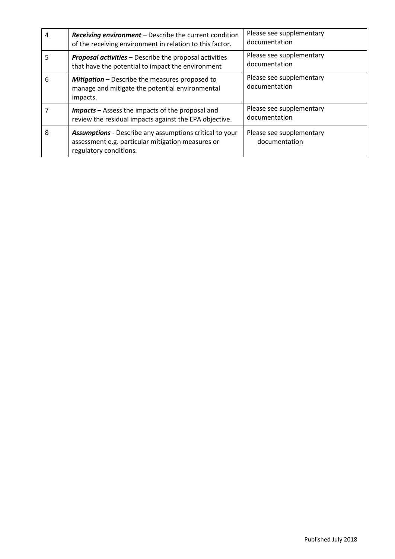| 4 | <b>Receiving environment</b> – Describe the current condition<br>of the receiving environment in relation to this factor.                     | Please see supplementary<br>documentation |
|---|-----------------------------------------------------------------------------------------------------------------------------------------------|-------------------------------------------|
| 5 | <b>Proposal activities</b> – Describe the proposal activities<br>that have the potential to impact the environment                            | Please see supplementary<br>documentation |
| 6 | Mitigation - Describe the measures proposed to<br>manage and mitigate the potential environmental<br>impacts.                                 | Please see supplementary<br>documentation |
|   | <b>Impacts</b> – Assess the impacts of the proposal and<br>review the residual impacts against the EPA objective.                             | Please see supplementary<br>documentation |
| 8 | <b>Assumptions</b> - Describe any assumptions critical to your<br>assessment e.g. particular mitigation measures or<br>regulatory conditions. | Please see supplementary<br>documentation |